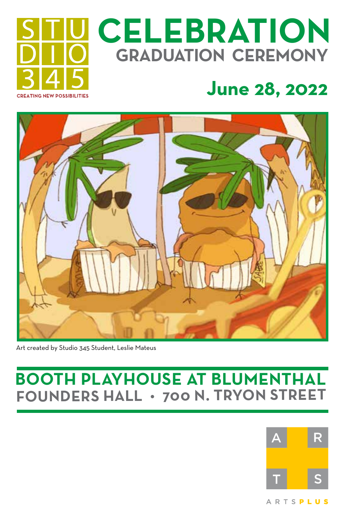# **CREATING NEW POSSIBILITIES**

# **CELEBRATION GRADUATION CEREMONY**

## **June 28, 2022**



Art created by Studio 345 Student, Leslie Mateus

#### **BOOTH PLAYHOUSE AT BLUMENTHAL FOUNDERS HALL • 700 N. TRYON STREET**

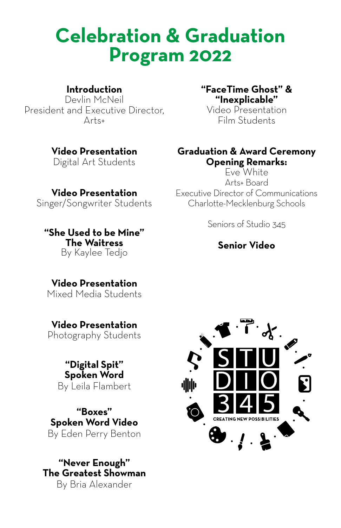### **Celebration & Graduation Program 2022**

#### **Introduction**

Devlin McNeil President and Executive Director, Arts+

#### **Video Presentation**

Digital Art Students

**Video Presentation**  Singer/Songwriter Students

**"She Used to be Mine" The Waitress** By Kaylee Tedjo

#### **"FaceTime Ghost" & "Inexplicable"**

Video Presentation Film Students

#### **Graduation & Award Ceremony Opening Remarks:**

Eve White Arts+ Board Executive Director of Communications Charlotte-Mecklenburg Schools

Seniors of Studio 345

#### **Senior Video**

#### **Video Presentation**  Mixed Media Students

**Video Presentation** Photography Students

> **"Digital Spit" Spoken Word**  By Leila Flambert

**"Boxes" Spoken Word Video** By Eden Perry Benton

**"Never Enough" The Greatest Showman** By Bria Alexander

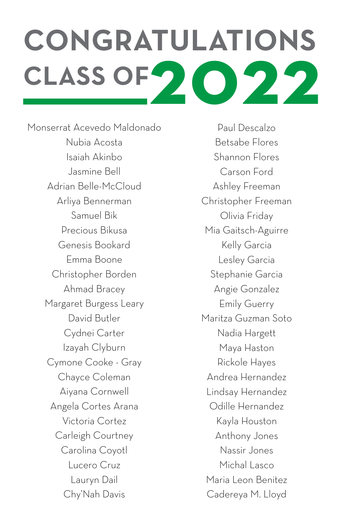# **CONGRATULATIONS** CLASS OF **2022**

Monserrat Acevedo Maldonado Nubia Acosta Isaiah Akinbo Jasmine Bell Adrian Belle-McCloud Arliya Bennerman Samuel Bik Precious Bikusa Genesis Bookard Emma Boone Christopher Borden Ahmad Bracey Margaret Burgess Leary David Butler Cydnei Carter Izayah Clyburn Cymone Cooke - Gray Chayce Coleman Aiyana Cornwell Angela Cortes Arana Victoria Cortez Carleigh Courtney Carolina Coyotl Lucero Cruz Lauryn Dail Chy'Nah Davis

Paul Descalzo Betsabe Flores Shannon Flores Carson Ford Ashley Freeman Christopher Freeman Olivia Friday Mia Gaitsch-Aguirre Kelly Garcia Lesley Garcia Stephanie Garcia Angie Gonzalez Emily Guerry Maritza Guzman Soto Nadia Hargett Maya Haston Rickole Hayes Andrea Hernandez Lindsay Hernandez Odille Hernandez Kayla Houston Anthony Jones Nassir Jones Michal Lasco Maria Leon Benitez Cadereya M. Lloyd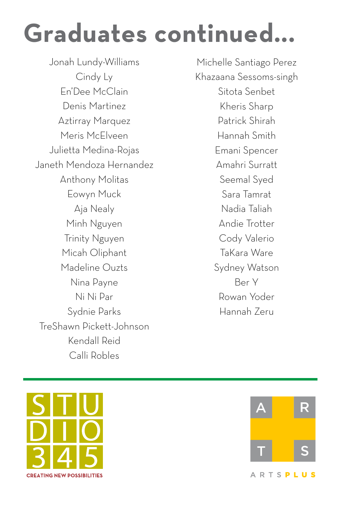# **Graduates continued...**

Jonah Lundy-Williams Cindy Ly En'Dee McClain Denis Martinez Aztirray Marquez Meris McElveen Julietta Medina-Rojas Janeth Mendoza Hernandez Anthony Molitas Eowyn Muck Aja Nealy Minh Nguyen Trinity Nguyen Micah Oliphant Madeline Ouzts Nina Payne Ni Ni Par Sydnie Parks TreShawn Pickett-Johnson Kendall Reid Calli Robles

Michelle Santiago Perez Khazaana Sessoms-singh Sitota Senbet Kheris Sharp Patrick Shirah Hannah Smith Emani Spencer Amahri Surratt Seemal Syed Sara Tamrat Nadia Taliah Andie Trotter Cody Valerio TaKara Ware Sydney Watson Ber Y Rowan Yoder Hannah Zeru



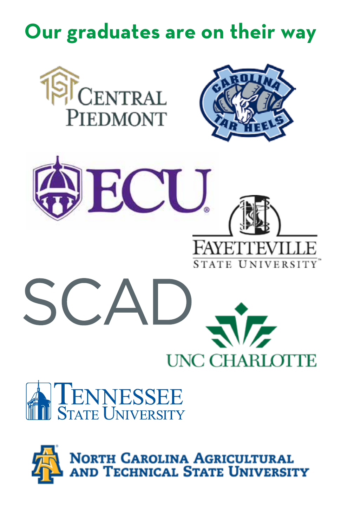# **Our graduates are on their way**